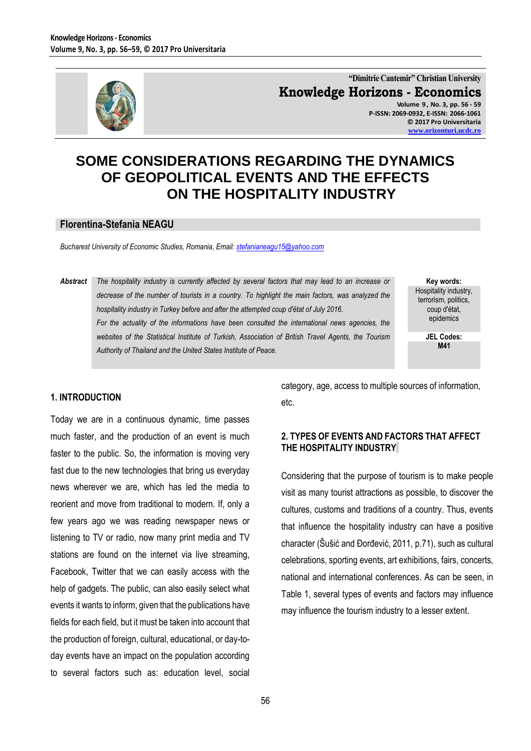

**"Dimitrie Cantemir" Christian University Knowledge Horizons - Economics Volume 9 , No. 3, pp. 56 - 59 P-ISSN: 2069-0932, E-ISSN: 2066-1061**

**© 2017 Pro Universitaria [www.orizonturi.ucdc.ro](http://www.orizonturi.ucdc.ro/)**

# **SOME CONSIDERATIONS REGARDING THE DYNAMICS OF GEOPOLITICAL EVENTS AND THE EFFECTS ON THE HOSPITALITY INDUSTRY**

#### **Florentina-Stefania NEAGU**

*Bucharest University of Economic Studies, Romania, Email: [stefanianeagu15@yahoo.com](mailto:stefanianeagu15@yahoo.com)*

*Abstract The hospitality industry is currently affected by several factors that may lead to an increase or decrease of the number of tourists in a country. To highlight the main factors, was analyzed the hospitality industry in Turkey before and after the attempted coup d'état of July 2016.* For the actuality of the informations have been consulted the international news agencies, the *websites of the Statistical Institute of Turkish, Association of British Travel Agents, the Tourism Authority of Thailand and the United States Institute of Peace.*

**Key words:** Hospitality industry, terrorism, politics, coup d'état, epidemics

> **JEL Codes: M41**

### **1. INTRODUCTION**

Today we are in a continuous dynamic, time passes much faster, and the production of an event is much faster to the public. So, the information is moving very fast due to the new technologies that bring us everyday news wherever we are, which has led the media to reorient and move from traditional to modern. If, only a few years ago we was reading newspaper news or listening to TV or radio, now many print media and TV stations are found on the internet via live streaming, Facebook, Twitter that we can easily access with the help of gadgets. The public, can also easily select what events it wants to inform, given that the publications have fields for each field, but it must be taken into account that the production of foreign, cultural, educational, or day-today events have an impact on the population according to several factors such as: education level, social category, age, access to multiple sources of information, etc.

## **2. TYPES OF EVENTS AND FACTORS THAT AFFECT THE HOSPITALITY INDUSTRY**

Considering that the purpose of tourism is to make people visit as many tourist attractions as possible, to discover the cultures, customs and traditions of a country. Thus, events that influence the hospitality industry can have a positive character (Šušić and Đorđević, 2011, p.71), such as cultural celebrations, sporting events, art exhibitions, fairs, concerts, national and international conferences. As can be seen, in Table 1, several types of events and factors may influence may influence the tourism industry to a lesser extent.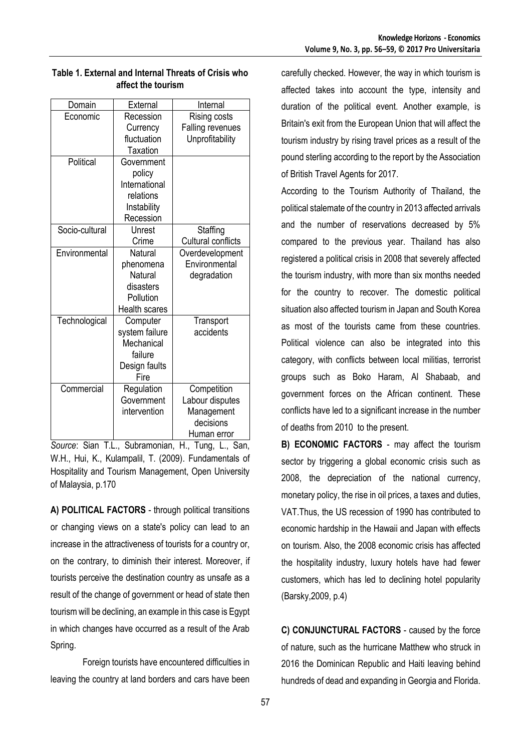| Domain         | External             | Internal                |  |
|----------------|----------------------|-------------------------|--|
| Economic       | Recession            | <b>Rising costs</b>     |  |
|                | Currency             | <b>Falling revenues</b> |  |
|                | fluctuation          | Unprofitability         |  |
|                | Taxation             |                         |  |
| Political      | Government           |                         |  |
|                | policy               |                         |  |
|                | International        |                         |  |
|                | relations            |                         |  |
|                | Instability          |                         |  |
|                | Recession            |                         |  |
| Socio-cultural | Unrest               | Staffing                |  |
|                | Crime                | Cultural conflicts      |  |
| Environmental  | Natural              | Overdevelopment         |  |
|                | phenomena            | Environmental           |  |
|                | Natural              | degradation             |  |
|                | disasters            |                         |  |
|                | Pollution            |                         |  |
|                | <b>Health scares</b> |                         |  |
| Technological  | Computer             | Transport               |  |
|                | system failure       | accidents               |  |
|                | Mechanical           |                         |  |
|                | failure              |                         |  |
|                | Design faults        |                         |  |
|                | Fire                 |                         |  |
| Commercial     | Regulation           | Competition             |  |
|                | Government           | Labour disputes         |  |
|                | intervention         | Management              |  |
|                |                      | decisions               |  |
|                |                      | Human error             |  |

|                    |  | Table 1. External and Internal Threats of Crisis who |  |  |  |
|--------------------|--|------------------------------------------------------|--|--|--|
| affect the tourism |  |                                                      |  |  |  |

*Source*: Sian T.L., Subramonian, H., Tung, L., San, W.H., Hui, K., Kulampalil, T. (2009). Fundamentals of Hospitality and Tourism Management, Open University of Malaysia, p.170

**A) POLITICAL FACTORS** - through political transitions or changing views on a state's policy can lead to an increase in the attractiveness of tourists for a country or, on the contrary, to diminish their interest. Moreover, if tourists perceive the destination country as unsafe as a result of the change of government or head of state then tourism will be declining, an example in this case is Egypt in which changes have occurred as a result of the Arab Spring.

Foreign tourists have encountered difficulties in leaving the country at land borders and cars have been carefully checked. However, the way in which tourism is affected takes into account the type, intensity and duration of the political event. Another example, is Britain's exit from the European Union that will affect the tourism industry by rising travel prices as a result of the pound sterling according to the report by the Association of British Travel Agents for 2017.

According to the Tourism Authority of Thailand, the political stalemate of the country in 2013 affected arrivals and the number of reservations decreased by 5% compared to the previous year. Thailand has also registered a political crisis in 2008 that severely affected the tourism industry, with more than six months needed for the country to recover. The domestic political situation also affected tourism in Japan and South Korea as most of the tourists came from these countries. Political violence can also be integrated into this category, with conflicts between local militias, terrorist groups such as Boko Haram, Al Shabaab, and government forces on the African continent. These conflicts have led to a significant increase in the number of deaths from 2010 to the present.

**B) ECONOMIC FACTORS** - may affect the tourism sector by triggering a global economic crisis such as 2008, the depreciation of the national currency, monetary policy, the rise in oil prices, a taxes and duties, VAT.Thus, the US recession of 1990 has contributed to economic hardship in the Hawaii and Japan with effects on tourism. Also, the 2008 economic crisis has affected the hospitality industry, luxury hotels have had fewer customers, which has led to declining hotel popularity (Barsky,2009, p.4)

**C) CONJUNCTURAL FACTORS** - caused by the force of nature, such as the hurricane Matthew who struck in 2016 the Dominican Republic and Haiti leaving behind hundreds of dead and expanding in Georgia and Florida.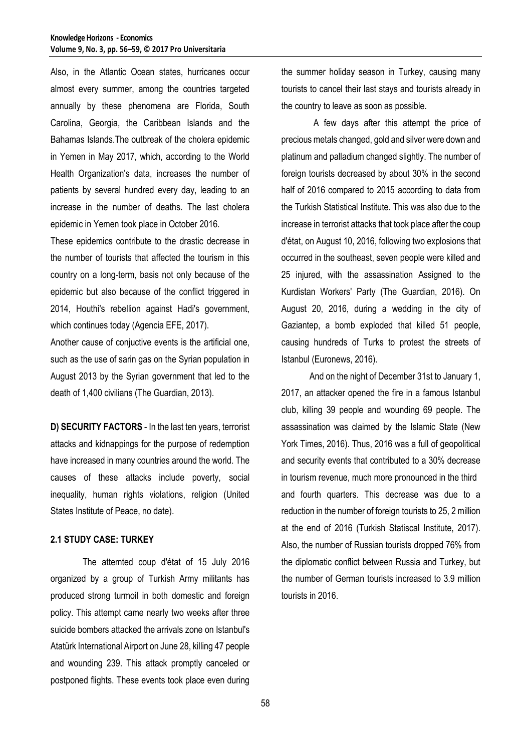Also, in the Atlantic Ocean states, hurricanes occur almost every summer, among the countries targeted annually by these phenomena are Florida, South Carolina, Georgia, the Caribbean Islands and the Bahamas Islands.The outbreak of the cholera epidemic in Yemen in May 2017, which, according to the World Health Organization's data, increases the number of patients by several hundred every day, leading to an increase in the number of deaths. The last cholera epidemic in Yemen took place in October 2016.

These epidemics contribute to the drastic decrease in the number of tourists that affected the tourism in this country on a long-term, basis not only because of the epidemic but also because of the conflict triggered in 2014, Houthi's rebellion against Hadi's government, which continues today (Agencia EFE, 2017).

Another cause of conjuctive events is the artificial one, such as the use of sarin gas on the Syrian population in August 2013 by the Syrian government that led to the death of 1,400 civilians (The Guardian, 2013).

**D) SECURITY FACTORS** - In the last ten years, terrorist attacks and kidnappings for the purpose of redemption have increased in many countries around the world. The causes of these attacks include poverty, social inequality, human rights violations, religion (United States Institute of Peace, no date).

#### **2.1 STUDY CASE: TURKEY**

The attemted coup d'état of 15 July 2016 organized by a group of Turkish Army militants has produced strong turmoil in both domestic and foreign policy. This attempt came nearly two weeks after three suicide bombers attacked the arrivals zone on Istanbul's Atatürk International Airport on June 28, killing 47 people and wounding 239. This attack promptly canceled or postponed flights. These events took place even during the summer holiday season in Turkey, causing many tourists to cancel their last stays and tourists already in the country to leave as soon as possible.

A few days after this attempt the price of precious metals changed, gold and silver were down and platinum and palladium changed slightly. The number of foreign tourists decreased by about 30% in the second half of 2016 compared to 2015 according to data from the Turkish Statistical Institute. This was also due to the increase in terrorist attacks that took place after the coup d'état, on August 10, 2016, following two explosions that occurred in the southeast, seven people were killed and 25 injured, with the assassination Assigned to the Kurdistan Workers' Party (The Guardian, 2016). On August 20, 2016, during a wedding in the city of Gaziantep, a bomb exploded that killed 51 people, causing hundreds of Turks to protest the streets of Istanbul (Euronews, 2016).

And on the night of December 31st to January 1, 2017, an attacker opened the fire in a famous Istanbul club, killing 39 people and wounding 69 people. The assassination was claimed by the Islamic State (New York Times, 2016). Thus, 2016 was a full of geopolitical and security events that contributed to a 30% decrease in tourism revenue, much more pronounced in the third and fourth quarters. This decrease was due to a reduction in the number of foreign tourists to 25, 2 million at the end of 2016 (Turkish Statiscal Institute, 2017). Also, the number of Russian tourists dropped 76% from the diplomatic conflict between Russia and Turkey, but the number of German tourists increased to 3.9 million tourists in 2016.